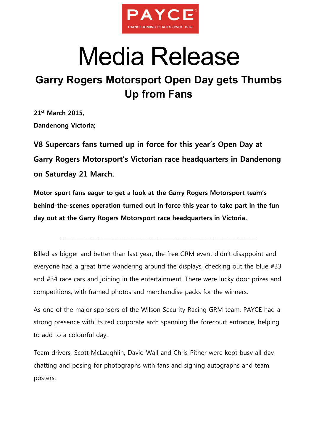

## Media Release

## **Garry Rogers Motorsport Open Day gets Thumbs Up from Fans**

**21st March 2015, Dandenong Victoria;**

**V8 Supercars fans turned up in force for this year's Open Day at Garry Rogers Motorsport's Victorian race headquarters in Dandenong on Saturday 21 March.**

**Motor sport fans eager to get a look at the Garry Rogers Motorsport team's behind-the-scenes operation turned out in force this year to take part in the fun day out at the Garry Rogers Motorsport race headquarters in Victoria.**

\_\_\_\_\_\_\_\_\_\_\_\_\_\_\_\_\_\_\_\_\_\_\_\_\_\_\_\_\_\_\_\_\_\_\_\_\_\_\_\_\_\_\_\_\_\_\_\_\_\_\_\_\_\_\_\_\_\_\_\_\_\_\_\_\_\_\_\_\_\_\_\_\_

Billed as bigger and better than last year, the free GRM event didn't disappoint and everyone had a great time wandering around the displays, checking out the blue #33 and #34 race cars and joining in the entertainment. There were lucky door prizes and competitions, with framed photos and merchandise packs for the winners.

As one of the major sponsors of the Wilson Security Racing GRM team, PAYCE had a strong presence with its red corporate arch spanning the forecourt entrance, helping to add to a colourful day.

Team drivers, Scott McLaughlin, David Wall and Chris Pither were kept busy all day chatting and posing for photographs with fans and signing autographs and team posters.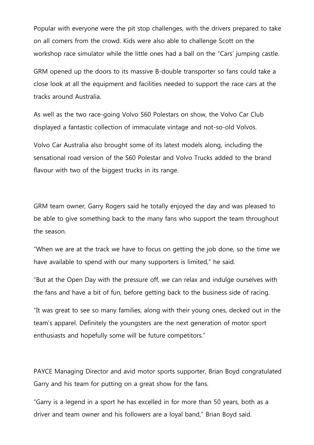Popular with everyone were the pit stop challenges, with the drivers prepared to take on all comers from the crowd. Kids were also able to challenge Scott on the workshop race simulator while the little ones had a ball on the "Cars' jumping castle.

GRM opened up the doors to its massive B-double transporter so fans could take a close look at all the equipment and facilities needed to support the race cars at the tracks around Australia.

As well as the two race-going Volvo S60 Polestars on show, the Volvo Car Club displayed a fantastic collection of immaculate vintage and not-so-old Volvos.

Volvo Car Australia also brought some of its latest models along, including the sensational road version of the S60 Polestar and Volvo Trucks added to the brand flavour with two of the biggest trucks in its range.

GRM team owner, Garry Rogers said he totally enjoyed the day and was pleased to be able to give something back to the many fans who support the team throughout the season.

"When we are at the track we have to focus on getting the job done, so the time we have available to spend with our many supporters is limited," he said.

"But at the Open Day with the pressure off, we can relax and indulge ourselves with the fans and have a bit of fun, before getting back to the business side of racing.

"It was great to see so many families, along with their young ones, decked out in the team's apparel. Definitely the youngsters are the next generation of motor sport enthusiasts and hopefully some will be future competitors."

PAYCE Managing Director and avid motor sports supporter, Brian Boyd congratulated Garry and his team for putting on a great show for the fans.

"Garry is a legend in a sport he has excelled in for more than 50 years, both as a driver and team owner and his followers are a loyal band," Brian Boyd said.